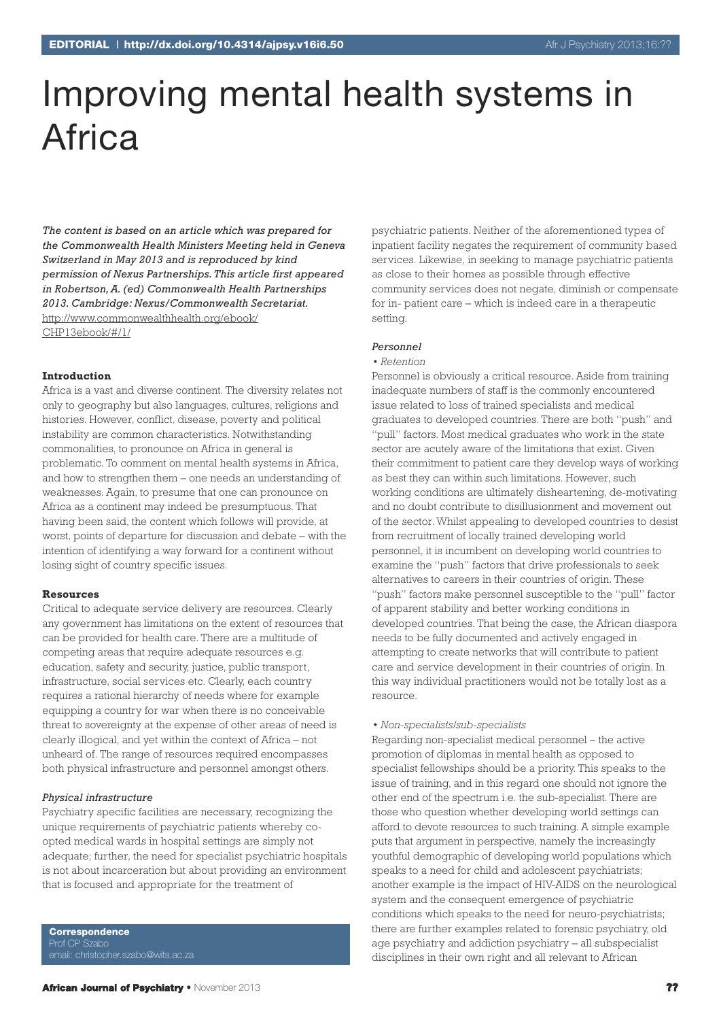# Improving mental health systems in **Africa**

*The content is based on an article which was prepared for the Commonwealth Health Ministers Meeting held in Geneva Switzerland in May 2013 and is reproduced by kind permission of Nexus Partnerships.This article first appeared in Robertson,A.(ed) Commonwealth Health Partnerships 2013. Cambridge: Nexus/Commonwealth Secretariat.* http://www.commonwealthhealth.org/ebook/ CHP13ebook/#/1/

## **Introduction**

Africa is a vast and diverse continent. The diversity relates not only to geography but also languages, cultures, religions and histories. However, conflict, disease, poverty and political instability are common characteristics. Notwithstanding commonalities, to pronounce on Africa in general is problematic. To comment on mental health systems in Africa, and how to strengthen them – one needs an understanding of weaknesses. Again, to presume that one can pronounce on Africa as a continent may indeed be presumptuous. That having been said, the content which follows will provide, at worst, points of departure for discussion and debate – with the intention of identifying a way forward for a continent without losing sight of country specific issues.

#### **Resources**

Critical to adequate service delivery are resources. Clearly any government has limitations on the extent of resources that can be provided for health care. There are a multitude of competing areas that require adequate resources e.g. education, safety and security, justice, public transport, infrastructure, social services etc. Clearly, each country requires a rational hierarchy of needs where for example equipping a country for war when there is no conceivable threat to sovereignty at the expense of other areas of need is clearly illogical, and yet within the context of Africa – not unheard of. The range of resources required encompasses both physical infrastructure and personnel amongst others.

#### *Physical infrastructure*

Psychiatry specific facilities are necessary, recognizing the unique requirements of psychiatric patients whereby coopted medical wards in hospital settings are simply not adequate; further, the need for specialist psychiatric hospitals is not about incarceration but about providing an environment that is focused and appropriate for the treatment of

**Correspondence** Prof CP Szabo email: christopher.szabo@wits.ac.za psychiatric patients. Neither of the aforementioned types of inpatient facility negates the requirement of community based services. Likewise, in seeking to manage psychiatric patients as close to their homes as possible through effective community services does not negate, diminish or compensate for in- patient care – which is indeed care in a therapeutic setting.

#### *Personnel*

# *• Retention*

Personnel is obviously a critical resource. Aside from training inadequate numbers of staff is the commonly encountered issue related to loss of trained specialists and medical graduates to developed countries. There are both "push" and "pull" factors. Most medical graduates who work in the state sector are acutely aware of the limitations that exist. Given their commitment to patient care they develop ways of working as best they can within such limitations. However, such working conditions are ultimately disheartening, de-motivating and no doubt contribute to disillusionment and movement out of the sector. Whilst appealing to developed countries to desist from recruitment of locally trained developing world personnel, it is incumbent on developing world countries to examine the "push" factors that drive professionals to seek alternatives to careers in their countries of origin. These "push" factors make personnel susceptible to the "pull" factor of apparent stability and better working conditions in developed countries. That being the case, the African diaspora needs to be fully documented and actively engaged in attempting to create networks that will contribute to patient care and service development in their countries of origin. In this way individual practitioners would not be totally lost as a resource.

#### *• Non-specialists/sub-specialists*

Regarding non-specialist medical personnel – the active promotion of diplomas in mental health as opposed to specialist fellowships should be a priority. This speaks to the issue of training, and in this regard one should not ignore the other end of the spectrum i.e. the sub-specialist. There are those who question whether developing world settings can afford to devote resources to such training. A simple example puts that argument in perspective, namely the increasingly youthful demographic of developing world populations which speaks to a need for child and adolescent psychiatrists; another example is the impact of HIV-AIDS on the neurological system and the consequent emergence of psychiatric conditions which speaks to the need for neuro-psychiatrists; there are further examples related to forensic psychiatry, old age psychiatry and addiction psychiatry – all subspecialist disciplines in their own right and all relevant to African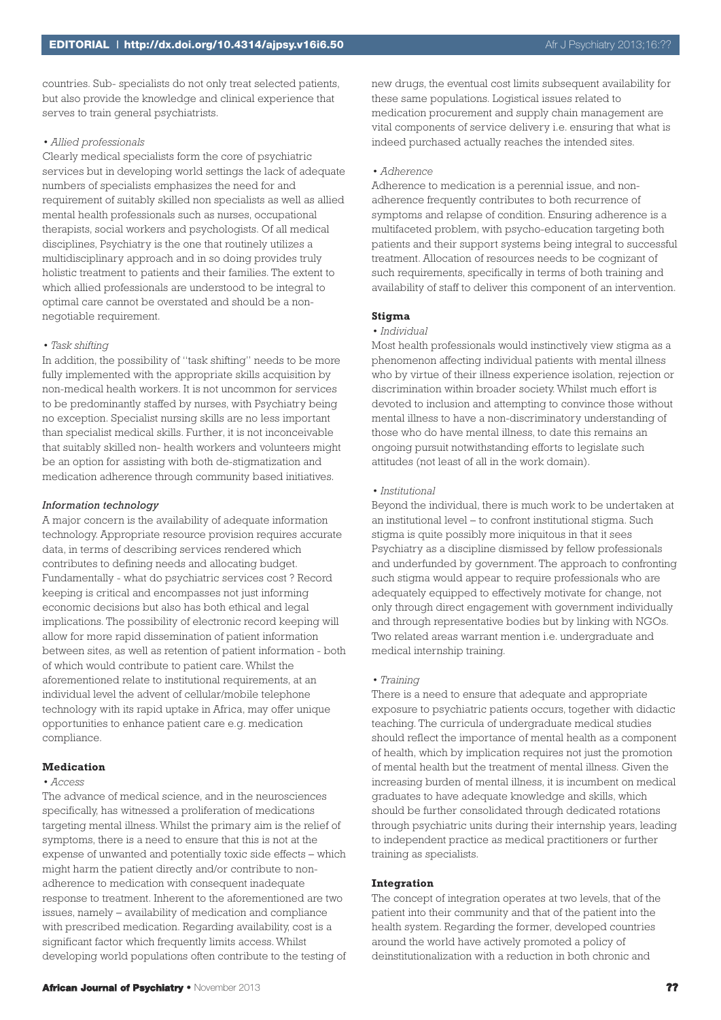countries. Sub- specialists do not only treat selected patients, but also provide the knowledge and clinical experience that serves to train general psychiatrists.

# *• Allied professionals*

Clearly medical specialists form the core of psychiatric services but in developing world settings the lack of adequate numbers of specialists emphasizes the need for and requirement of suitably skilled non specialists as well as allied mental health professionals such as nurses, occupational therapists, social workers and psychologists. Of all medical disciplines, Psychiatry is the one that routinely utilizes a multidisciplinary approach and in so doing provides truly holistic treatment to patients and their families. The extent to which allied professionals are understood to be integral to optimal care cannot be overstated and should be a nonnegotiable requirement.

# *• Task shifting*

In addition, the possibility of "task shifting" needs to be more fully implemented with the appropriate skills acquisition by non-medical health workers. It is not uncommon for services to be predominantly staffed by nurses, with Psychiatry being no exception. Specialist nursing skills are no less important than specialist medical skills. Further, it is not inconceivable that suitably skilled non- health workers and volunteers might be an option for assisting with both de-stigmatization and medication adherence through community based initiatives.

#### *Information technology*

A major concern is the availability of adequate information technology. Appropriate resource provision requires accurate data, in terms of describing services rendered which contributes to defining needs and allocating budget. Fundamentally - what do psychiatric services cost ? Record keeping is critical and encompasses not just informing economic decisions but also has both ethical and legal implications. The possibility of electronic record keeping will allow for more rapid dissemination of patient information between sites, as well as retention of patient information - both of which would contribute to patient care. Whilst the aforementioned relate to institutional requirements, at an individual level the advent of cellular/mobile telephone technology with its rapid uptake in Africa, may offer unique opportunities to enhance patient care e.g. medication compliance.

#### **Medication**

#### *• Access*

The advance of medical science, and in the neurosciences specifically, has witnessed a proliferation of medications targeting mental illness. Whilst the primary aim is the relief of symptoms, there is a need to ensure that this is not at the expense of unwanted and potentially toxic side effects – which might harm the patient directly and/or contribute to nonadherence to medication with consequent inadequate response to treatment. Inherent to the aforementioned are two issues, namely – availability of medication and compliance with prescribed medication. Regarding availability, cost is a significant factor which frequently limits access. Whilst developing world populations often contribute to the testing of new drugs, the eventual cost limits subsequent availability for these same populations. Logistical issues related to medication procurement and supply chain management are vital components of service delivery i.e. ensuring that what is indeed purchased actually reaches the intended sites.

# *• Adherence*

Adherence to medication is a perennial issue, and nonadherence frequently contributes to both recurrence of symptoms and relapse of condition. Ensuring adherence is a multifaceted problem, with psycho-education targeting both patients and their support systems being integral to successful treatment. Allocation of resources needs to be cognizant of such requirements, specifically in terms of both training and availability of staff to deliver this component of an intervention.

## **Stigma**

#### *• Individual*

Most health professionals would instinctively view stigma as a phenomenon affecting individual patients with mental illness who by virtue of their illness experience isolation, rejection or discrimination within broader society. Whilst much effort is devoted to inclusion and attempting to convince those without mental illness to have a non-discriminatory understanding of those who do have mental illness, to date this remains an ongoing pursuit notwithstanding efforts to legislate such attitudes (not least of all in the work domain).

#### *• Institutional*

Beyond the individual, there is much work to be undertaken at an institutional level – to confront institutional stigma. Such stigma is quite possibly more iniquitous in that it sees Psychiatry as a discipline dismissed by fellow professionals and underfunded by government. The approach to confronting such stigma would appear to require professionals who are adequately equipped to effectively motivate for change, not only through direct engagement with government individually and through representative bodies but by linking with NGOs. Two related areas warrant mention i.e. undergraduate and medical internship training.

# *• Training*

There is a need to ensure that adequate and appropriate exposure to psychiatric patients occurs, together with didactic teaching. The curricula of undergraduate medical studies should reflect the importance of mental health as a component of health, which by implication requires not just the promotion of mental health but the treatment of mental illness. Given the increasing burden of mental illness, it is incumbent on medical graduates to have adequate knowledge and skills, which should be further consolidated through dedicated rotations through psychiatric units during their internship years, leading to independent practice as medical practitioners or further training as specialists.

## **Integration**

The concept of integration operates at two levels, that of the patient into their community and that of the patient into the health system. Regarding the former, developed countries around the world have actively promoted a policy of deinstitutionalization with a reduction in both chronic and